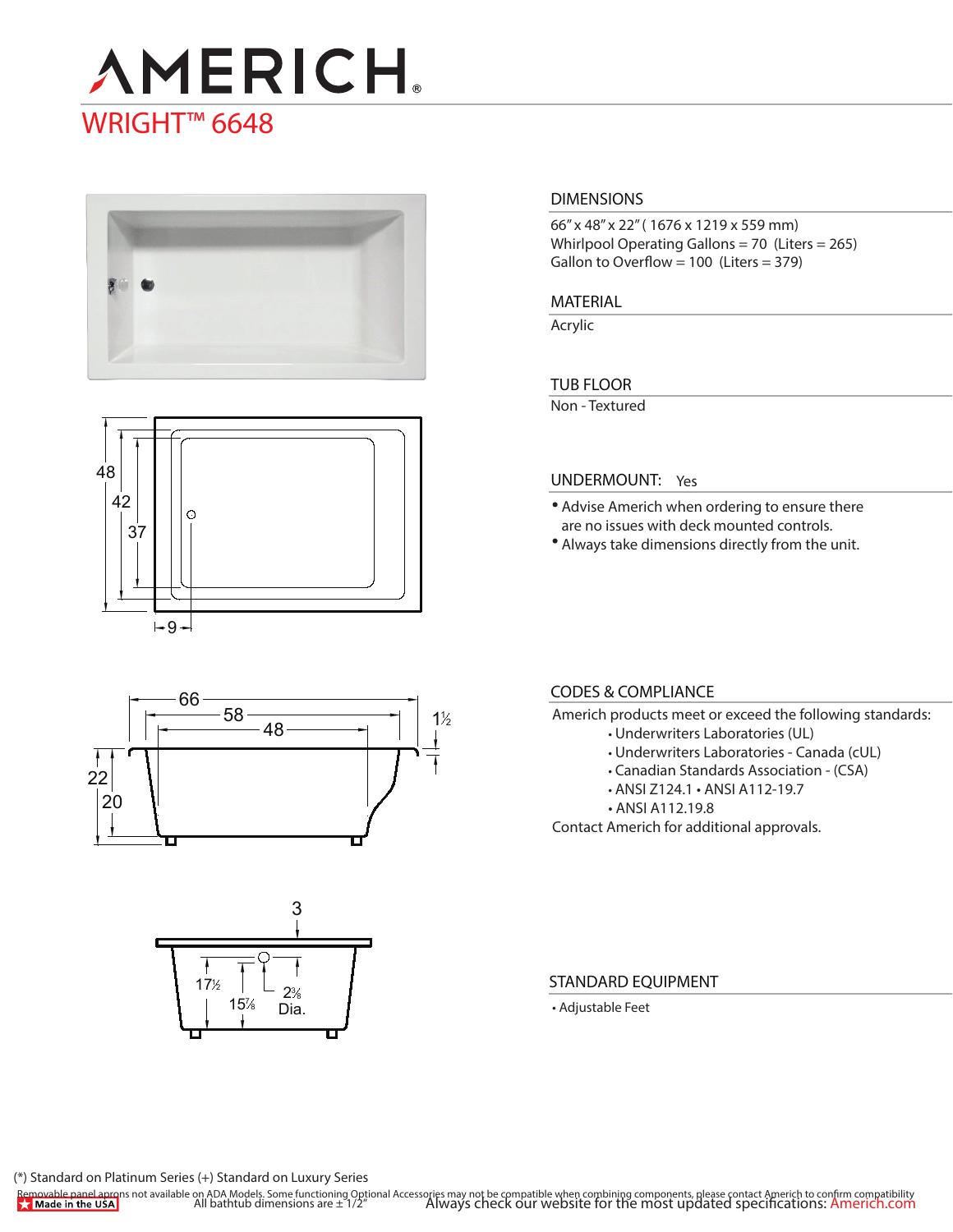# **AMERICH** WRIGHT<sup>™</sup> 6648









### **DIMENSIONS**

66" x 48" x 22" ( 1676 x 1219 x 559 mm) Whirlpool Operating Gallons = 70 (Liters = 265) Gallon to Overflow =  $100$  (Liters = 379)

**MATERIAL** 

Acrylic

## **TUB FLOOR**

Non - Textured

### **UNDERMOUNT:** Yes

- Advise Americh when ordering to ensure there are no issues with deck mounted controls.
- Always take dimensions directly from the unit.

### **CODES & COMPLIANCE**

- Americh products meet or exceed the following standards:
	- Underwriters Laboratories (UL)
	- Underwriters Laboratories Canada (cUL)
	- Canadian Standards Association (CSA)
	- ANSI Z124.1 ANSI A112-19.7
	- ANSI A112.19.8

Contact Americh for additional approvals.

**STANDARD EQUIPMENT**

• Adjustable Feet

(\*) Standard on Platinum Series (+) Standard on Luxury Series

Removable panel aprons not available on ADA Models. Some functioning Optional Accessories may not be compatible when combining components, please contact Americh to confirm compatibility<br>Always check our website for the mo